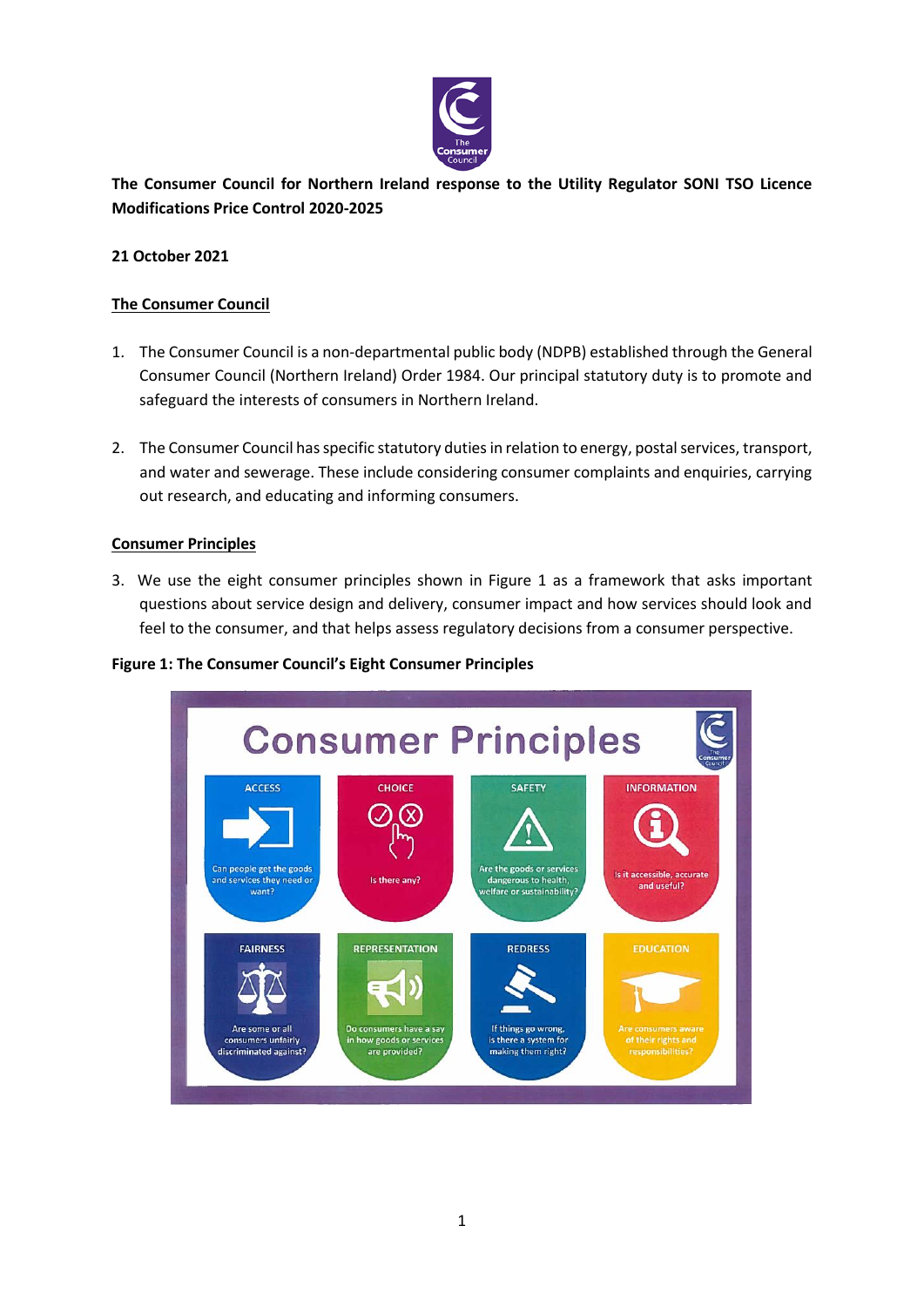

**The Consumer Council for Northern Ireland response to the Utility Regulator SONI TSO Licence Modifications Price Control 2020-2025**

# **21 October 2021**

# **The Consumer Council**

- 1. The Consumer Council is a non-departmental public body (NDPB) established through the General Consumer Council (Northern Ireland) Order 1984. Our principal statutory duty is to promote and safeguard the interests of consumers in Northern Ireland.
- 2. The Consumer Council has specific statutory duties in relation to energy, postal services, transport, and water and sewerage. These include considering consumer complaints and enquiries, carrying out research, and educating and informing consumers.

## **Consumer Principles**

3. We use the eight consumer principles shown in Figure 1 as a framework that asks important questions about service design and delivery, consumer impact and how services should look and feel to the consumer, and that helps assess regulatory decisions from a consumer perspective.



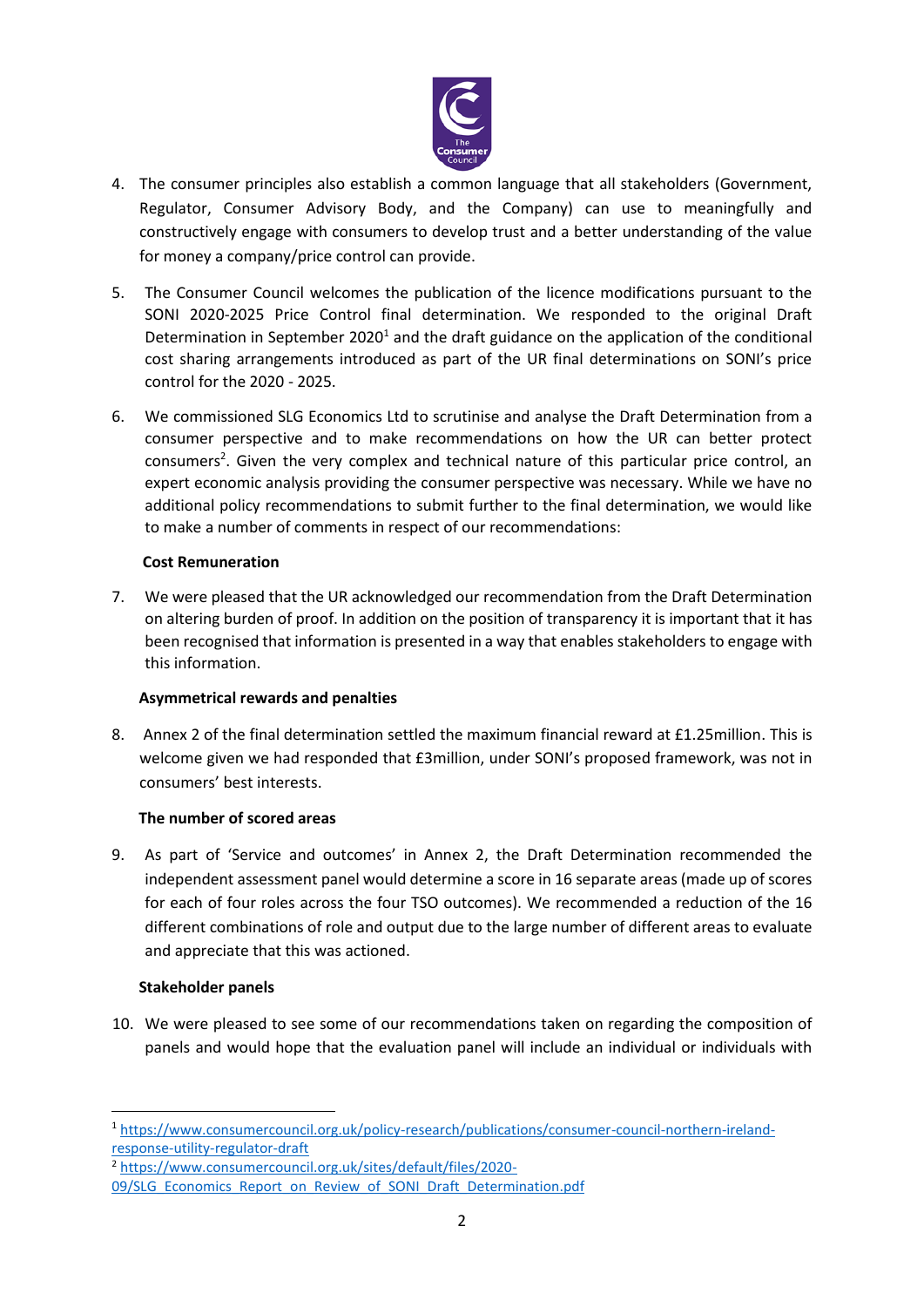

- 4. The consumer principles also establish a common language that all stakeholders (Government, Regulator, Consumer Advisory Body, and the Company) can use to meaningfully and constructively engage with consumers to develop trust and a better understanding of the value for money a company/price control can provide.
- 5. The Consumer Council welcomes the publication of the licence modifications pursuant to the SONI 2020-2025 Price Control final determination. We responded to the original Draft Determination in September 2020<sup>1</sup> and the draft guidance on the application of the conditional cost sharing arrangements introduced as part of the UR final determinations on SONI's price control for the 2020 - 2025.
- 6. We commissioned SLG Economics Ltd to scrutinise and analyse the Draft Determination from a consumer perspective and to make recommendations on how the UR can better protect consumers<sup>2</sup>. Given the very complex and technical nature of this particular price control, an expert economic analysis providing the consumer perspective was necessary. While we have no additional policy recommendations to submit further to the final determination, we would like to make a number of comments in respect of our recommendations:

## **Cost Remuneration**

7. We were pleased that the UR acknowledged our recommendation from the Draft Determination on altering burden of proof. In addition on the position of transparency it is important that it has been recognised that information is presented in a way that enables stakeholders to engage with this information.

## **Asymmetrical rewards and penalties**

8. Annex 2 of the final determination settled the maximum financial reward at £1.25million. This is welcome given we had responded that £3million, under SONI's proposed framework, was not in consumers' best interests.

## **The number of scored areas**

9. As part of 'Service and outcomes' in Annex 2, the Draft Determination recommended the independent assessment panel would determine a score in 16 separate areas (made up of scores for each of four roles across the four TSO outcomes). We recommended a reduction of the 16 different combinations of role and output due to the large number of different areas to evaluate and appreciate that this was actioned.

#### **Stakeholder panels**

 $\overline{a}$ 

 10. We were pleased to see some of our recommendations taken on regarding the composition of panels and would hope that the evaluation panel will include an individual or individuals with

<sup>1</sup> [https://www.consumercouncil.org.uk/policy-research/publications/consumer-council-northern-ireland](https://www.consumercouncil.org.uk/policy-research/publications/consumer-council-northern-ireland-response-utility-regulator-draft)[response-utility-regulator-draft](https://www.consumercouncil.org.uk/policy-research/publications/consumer-council-northern-ireland-response-utility-regulator-draft)

<sup>2</sup> [https://www.consumercouncil.org.uk/sites/default/files/2020-](https://www.consumercouncil.org.uk/sites/default/files/2020-09/SLG_Economics_Report_on_Review_of_SONI_Draft_Determination.pdf)

[<sup>09/</sup>SLG\\_Economics\\_Report\\_on\\_Review\\_of\\_SONI\\_Draft\\_Determination.pdf](https://www.consumercouncil.org.uk/sites/default/files/2020-09/SLG_Economics_Report_on_Review_of_SONI_Draft_Determination.pdf)